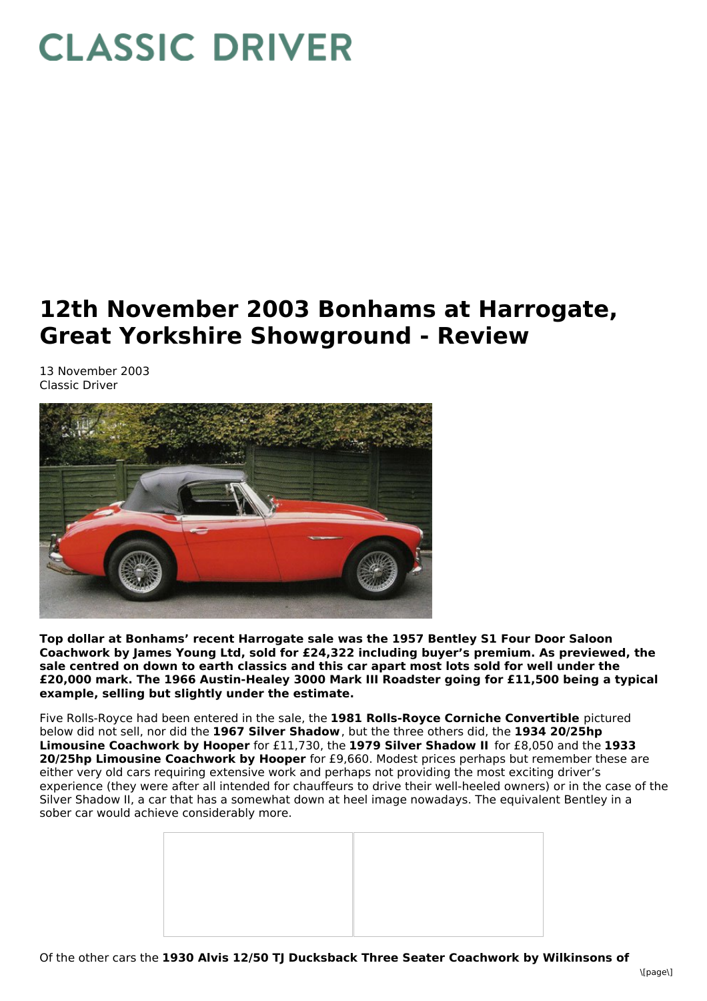## **CLASSIC DRIVER**

## **12th November 2003 Bonhams at Harrogate, Great Yorkshire Showground - Review**

13 November 2003 Classic Driver



**Top dollar at Bonhams' recent Harrogate sale was the 1957 Bentley S1 Four Door Saloon Coachwork by James Young Ltd, sold for £24,322 including buyer's premium. As previewed, the sale centred on down to earth classics and this car apart most lots sold for well under the £20,000 mark. The 1966 Austin-Healey 3000 Mark III Roadster going for £11,500 being a typical example, selling but slightly under the estimate.**

Five Rolls-Royce had been entered in the sale, the **1981 Rolls-Royce Corniche Convertible** pictured below did not sell, nor did the **1967 Silver Shadow**, but the three others did, the **1934 20/25hp Limousine Coachwork by Hooper** for £11,730, the **1979 Silver Shadow II** for £8,050 and the **1933 20/25hp Limousine Coachwork by Hooper** for £9,660. Modest prices perhaps but remember these are either very old cars requiring extensive work and perhaps not providing the most exciting driver's experience (they were after all intended for chauffeurs to drive their well-heeled owners) or in the case of the Silver Shadow II, a car that has a somewhat down at heel image nowadays. The equivalent Bentley in a sober car would achieve considerably more.